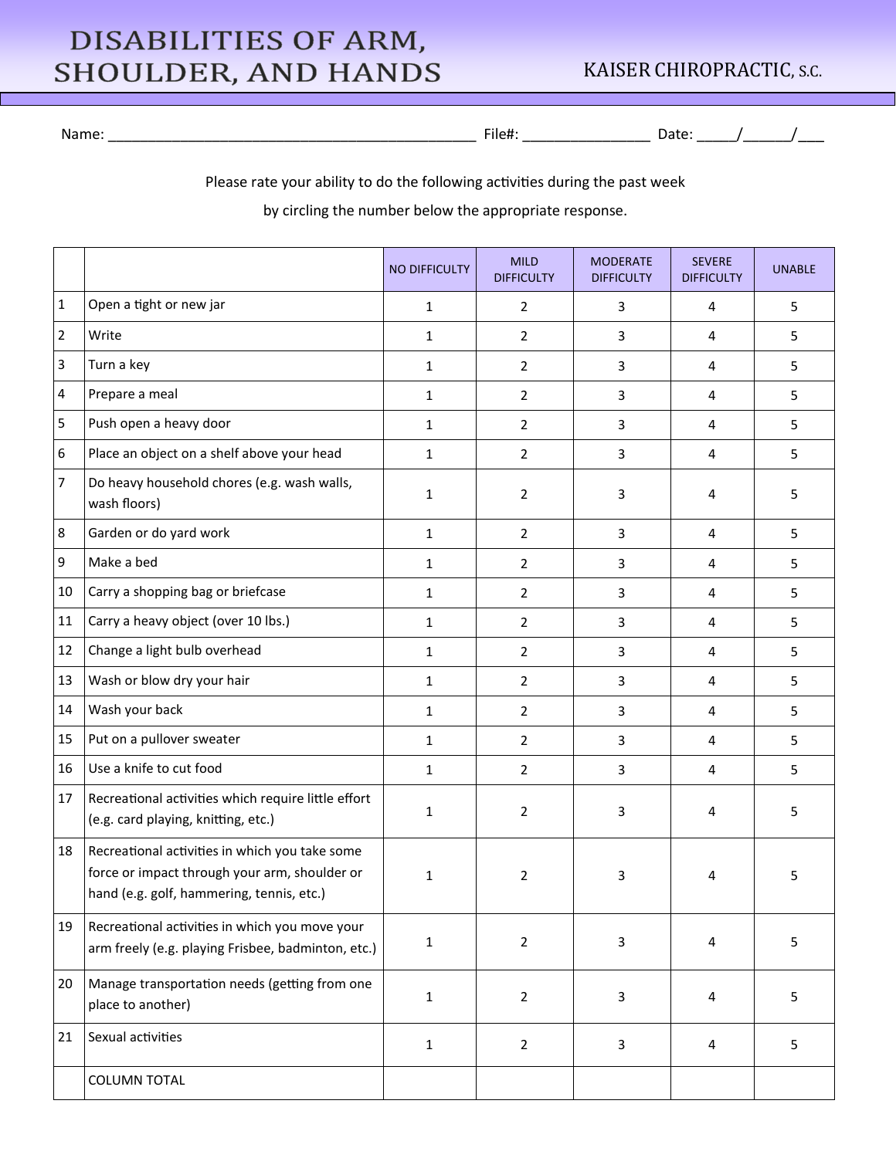## DISABILITIES OF ARM, **SHOULDER, AND HANDS**

## KAISER CHIROPRACTIC, S.C.

Name: \_\_\_\_\_\_\_\_\_\_\_\_\_\_\_\_\_\_\_\_\_\_\_\_\_\_\_\_\_\_\_\_\_\_\_\_\_\_\_\_\_\_\_\_\_\_ File#: \_\_\_\_\_\_\_\_\_\_\_\_\_\_\_\_ Date: \_\_\_\_\_/\_\_\_\_\_\_/\_\_\_

Please rate your ability to do the following activities during the past week

by circling the number below the appropriate response.

|              |                                                                                                                                              | <b>NO DIFFICULTY</b> | <b>MILD</b><br><b>DIFFICULTY</b> | <b>MODERATE</b><br><b>DIFFICULTY</b> | <b>SEVERE</b><br><b>DIFFICULTY</b> | <b>UNABLE</b> |
|--------------|----------------------------------------------------------------------------------------------------------------------------------------------|----------------------|----------------------------------|--------------------------------------|------------------------------------|---------------|
| $\mathbf{1}$ | Open a tight or new jar                                                                                                                      | $\mathbf{1}$         | $\overline{2}$                   | 3                                    | 4                                  | 5             |
| 2            | Write                                                                                                                                        | $\mathbf{1}$         | $\overline{2}$                   | 3                                    | 4                                  | 5             |
| 3            | Turn a key                                                                                                                                   | $\mathbf{1}$         | $\overline{2}$                   | 3                                    | 4                                  | 5             |
| 4            | Prepare a meal                                                                                                                               | $\mathbf{1}$         | $\overline{2}$                   | 3                                    | 4                                  | 5             |
| 5            | Push open a heavy door                                                                                                                       | $\mathbf{1}$         | $\overline{2}$                   | 3                                    | 4                                  | 5             |
| 6            | Place an object on a shelf above your head                                                                                                   | $\mathbf{1}$         | 2                                | 3                                    | 4                                  | 5             |
| 7            | Do heavy household chores (e.g. wash walls,<br>wash floors)                                                                                  | $\mathbf{1}$         | 2                                | 3                                    | 4                                  | 5             |
| 8            | Garden or do yard work                                                                                                                       | $\mathbf{1}$         | $\overline{2}$                   | 3                                    | 4                                  | 5             |
| 9            | Make a bed                                                                                                                                   | $\mathbf{1}$         | $\overline{2}$                   | 3                                    | 4                                  | 5             |
| 10           | Carry a shopping bag or briefcase                                                                                                            | $\mathbf{1}$         | $\overline{2}$                   | 3                                    | 4                                  | 5             |
| 11           | Carry a heavy object (over 10 lbs.)                                                                                                          | $\mathbf{1}$         | $\overline{2}$                   | 3                                    | 4                                  | 5             |
| 12           | Change a light bulb overhead                                                                                                                 | $\mathbf{1}$         | 2                                | 3                                    | 4                                  | 5             |
| 13           | Wash or blow dry your hair                                                                                                                   | $\mathbf{1}$         | $\overline{2}$                   | 3                                    | 4                                  | 5             |
| 14           | Wash your back                                                                                                                               | $\mathbf{1}$         | $\overline{2}$                   | 3                                    | 4                                  | 5             |
| 15           | Put on a pullover sweater                                                                                                                    | $\mathbf{1}$         | $\overline{2}$                   | 3                                    | 4                                  | 5             |
| 16           | Use a knife to cut food                                                                                                                      | $\mathbf{1}$         | $\overline{2}$                   | 3                                    | 4                                  | 5             |
| 17           | Recreational activities which require little effort<br>(e.g. card playing, knitting, etc.)                                                   | $\mathbf{1}$         | 2                                | 3                                    | 4                                  | 5             |
| 18           | Recreational activities in which you take some<br>force or impact through your arm, shoulder or<br>hand (e.g. golf, hammering, tennis, etc.) | $\mathbf{1}$         | 2                                | 3                                    | 4                                  | 5             |
| 19           | Recreational activities in which you move your<br>arm freely (e.g. playing Frisbee, badminton, etc.)                                         | $\mathbf 1$          | $\overline{2}$                   | 3                                    | 4                                  | 5             |
| 20           | Manage transportation needs (getting from one<br>place to another)                                                                           | $\mathbf{1}$         | $\overline{2}$                   | 3                                    | 4                                  | 5             |
| 21           | Sexual activities                                                                                                                            | $\mathbf{1}$         | $\overline{2}$                   | 3                                    | 4                                  | 5             |
|              | <b>COLUMN TOTAL</b>                                                                                                                          |                      |                                  |                                      |                                    |               |